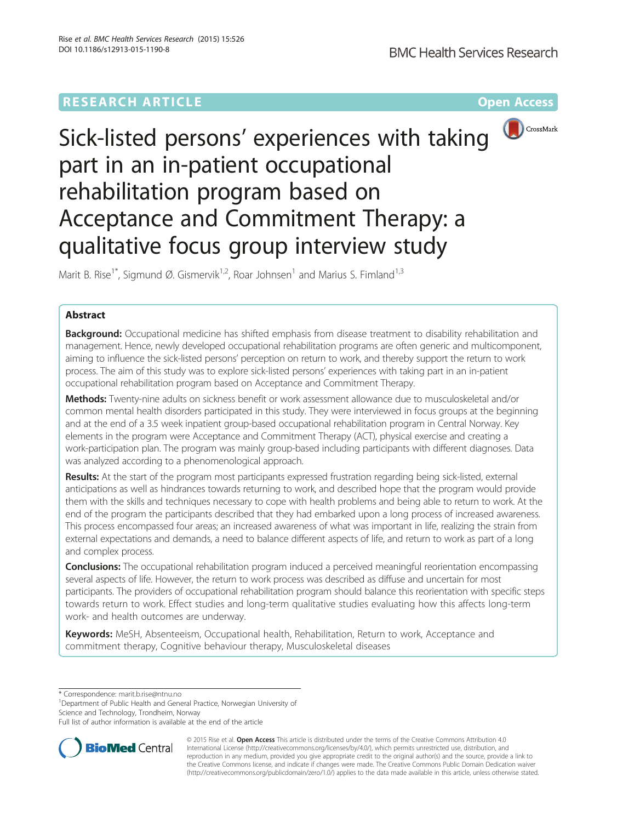### **RESEARCH ARTICLE Example 2014 12:25 Open Access**



# Sick-listed persons' experiences with taking part in an in-patient occupational rehabilitation program based on Acceptance and Commitment Therapy: a qualitative focus group interview study

Marit B. Rise<sup>1\*</sup>, Sigmund Ø. Gismervik<sup>1,2</sup>, Roar Johnsen<sup>1</sup> and Marius S. Fimland<sup>1,3</sup>

### Abstract

**Background:** Occupational medicine has shifted emphasis from disease treatment to disability rehabilitation and management. Hence, newly developed occupational rehabilitation programs are often generic and multicomponent, aiming to influence the sick-listed persons' perception on return to work, and thereby support the return to work process. The aim of this study was to explore sick-listed persons' experiences with taking part in an in-patient occupational rehabilitation program based on Acceptance and Commitment Therapy.

Methods: Twenty-nine adults on sickness benefit or work assessment allowance due to musculoskeletal and/or common mental health disorders participated in this study. They were interviewed in focus groups at the beginning and at the end of a 3.5 week inpatient group-based occupational rehabilitation program in Central Norway. Key elements in the program were Acceptance and Commitment Therapy (ACT), physical exercise and creating a work-participation plan. The program was mainly group-based including participants with different diagnoses. Data was analyzed according to a phenomenological approach.

Results: At the start of the program most participants expressed frustration regarding being sick-listed, external anticipations as well as hindrances towards returning to work, and described hope that the program would provide them with the skills and techniques necessary to cope with health problems and being able to return to work. At the end of the program the participants described that they had embarked upon a long process of increased awareness. This process encompassed four areas; an increased awareness of what was important in life, realizing the strain from external expectations and demands, a need to balance different aspects of life, and return to work as part of a long and complex process.

**Conclusions:** The occupational rehabilitation program induced a perceived meaningful reorientation encompassing several aspects of life. However, the return to work process was described as diffuse and uncertain for most participants. The providers of occupational rehabilitation program should balance this reorientation with specific steps towards return to work. Effect studies and long-term qualitative studies evaluating how this affects long-term work- and health outcomes are underway.

Keywords: MeSH, Absenteeism, Occupational health, Rehabilitation, Return to work, Acceptance and commitment therapy, Cognitive behaviour therapy, Musculoskeletal diseases

\* Correspondence: [marit.b.rise@ntnu.no](mailto:marit.b.rise@ntnu.no) <sup>1</sup>

<sup>1</sup>Department of Public Health and General Practice, Norwegian University of Science and Technology, Trondheim, Norway

Full list of author information is available at the end of the article



© 2015 Rise et al. Open Access This article is distributed under the terms of the Creative Commons Attribution 4.0 International License [\(http://creativecommons.org/licenses/by/4.0/](http://creativecommons.org/licenses/by/4.0/)), which permits unrestricted use, distribution, and reproduction in any medium, provided you give appropriate credit to the original author(s) and the source, provide a link to the Creative Commons license, and indicate if changes were made. The Creative Commons Public Domain Dedication waiver [\(http://creativecommons.org/publicdomain/zero/1.0/](http://creativecommons.org/publicdomain/zero/1.0/)) applies to the data made available in this article, unless otherwise stated.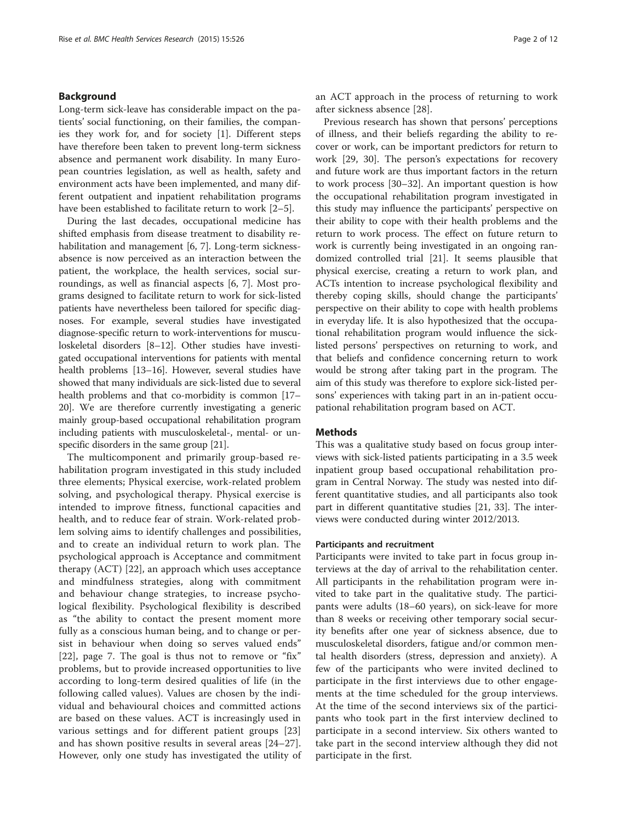#### Background

Long-term sick-leave has considerable impact on the patients' social functioning, on their families, the companies they work for, and for society [[1\]](#page-9-0). Different steps have therefore been taken to prevent long-term sickness absence and permanent work disability. In many European countries legislation, as well as health, safety and environment acts have been implemented, and many different outpatient and inpatient rehabilitation programs have been established to facilitate return to work [\[2](#page-9-0)–[5\]](#page-9-0).

During the last decades, occupational medicine has shifted emphasis from disease treatment to disability re-habilitation and management [\[6](#page-9-0), [7](#page-9-0)]. Long-term sicknessabsence is now perceived as an interaction between the patient, the workplace, the health services, social surroundings, as well as financial aspects [\[6](#page-9-0), [7\]](#page-9-0). Most programs designed to facilitate return to work for sick-listed patients have nevertheless been tailored for specific diagnoses. For example, several studies have investigated diagnose-specific return to work-interventions for musculoskeletal disorders [\[8](#page-9-0)–[12\]](#page-10-0). Other studies have investigated occupational interventions for patients with mental health problems [\[13](#page-10-0)–[16](#page-10-0)]. However, several studies have showed that many individuals are sick-listed due to several health problems and that co-morbidity is common [\[17](#page-10-0)– [20](#page-10-0)]. We are therefore currently investigating a generic mainly group-based occupational rehabilitation program including patients with musculoskeletal-, mental- or unspecific disorders in the same group [\[21\]](#page-10-0).

The multicomponent and primarily group-based rehabilitation program investigated in this study included three elements; Physical exercise, work-related problem solving, and psychological therapy. Physical exercise is intended to improve fitness, functional capacities and health, and to reduce fear of strain. Work-related problem solving aims to identify challenges and possibilities, and to create an individual return to work plan. The psychological approach is Acceptance and commitment therapy (ACT) [\[22](#page-10-0)], an approach which uses acceptance and mindfulness strategies, along with commitment and behaviour change strategies, to increase psychological flexibility. Psychological flexibility is described as "the ability to contact the present moment more fully as a conscious human being, and to change or persist in behaviour when doing so serves valued ends" [[22\]](#page-10-0), page 7. The goal is thus not to remove or "fix" problems, but to provide increased opportunities to live according to long-term desired qualities of life (in the following called values). Values are chosen by the individual and behavioural choices and committed actions are based on these values. ACT is increasingly used in various settings and for different patient groups [\[23](#page-10-0)] and has shown positive results in several areas [\[24](#page-10-0)–[27](#page-10-0)]. However, only one study has investigated the utility of an ACT approach in the process of returning to work after sickness absence [[28](#page-10-0)].

Previous research has shown that persons' perceptions of illness, and their beliefs regarding the ability to recover or work, can be important predictors for return to work [[29, 30\]](#page-10-0). The person's expectations for recovery and future work are thus important factors in the return to work process [[30](#page-10-0)–[32](#page-10-0)]. An important question is how the occupational rehabilitation program investigated in this study may influence the participants' perspective on their ability to cope with their health problems and the return to work process. The effect on future return to work is currently being investigated in an ongoing randomized controlled trial [[21\]](#page-10-0). It seems plausible that physical exercise, creating a return to work plan, and ACTs intention to increase psychological flexibility and thereby coping skills, should change the participants' perspective on their ability to cope with health problems in everyday life. It is also hypothesized that the occupational rehabilitation program would influence the sicklisted persons' perspectives on returning to work, and that beliefs and confidence concerning return to work would be strong after taking part in the program. The aim of this study was therefore to explore sick-listed persons' experiences with taking part in an in-patient occupational rehabilitation program based on ACT.

#### Methods

This was a qualitative study based on focus group interviews with sick-listed patients participating in a 3.5 week inpatient group based occupational rehabilitation program in Central Norway. The study was nested into different quantitative studies, and all participants also took part in different quantitative studies [[21, 33](#page-10-0)]. The interviews were conducted during winter 2012/2013.

#### Participants and recruitment

Participants were invited to take part in focus group interviews at the day of arrival to the rehabilitation center. All participants in the rehabilitation program were invited to take part in the qualitative study. The participants were adults (18–60 years), on sick-leave for more than 8 weeks or receiving other temporary social security benefits after one year of sickness absence, due to musculoskeletal disorders, fatigue and/or common mental health disorders (stress, depression and anxiety). A few of the participants who were invited declined to participate in the first interviews due to other engagements at the time scheduled for the group interviews. At the time of the second interviews six of the participants who took part in the first interview declined to participate in a second interview. Six others wanted to take part in the second interview although they did not participate in the first.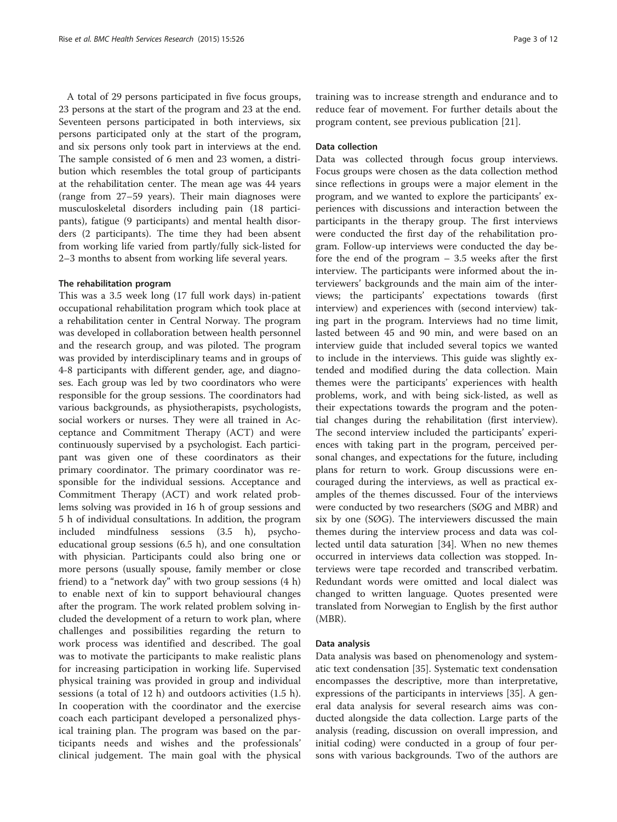A total of 29 persons participated in five focus groups, 23 persons at the start of the program and 23 at the end. Seventeen persons participated in both interviews, six persons participated only at the start of the program, and six persons only took part in interviews at the end. The sample consisted of 6 men and 23 women, a distribution which resembles the total group of participants at the rehabilitation center. The mean age was 44 years (range from 27–59 years). Their main diagnoses were musculoskeletal disorders including pain (18 participants), fatigue (9 participants) and mental health disorders (2 participants). The time they had been absent from working life varied from partly/fully sick-listed for 2–3 months to absent from working life several years.

#### The rehabilitation program

This was a 3.5 week long (17 full work days) in-patient occupational rehabilitation program which took place at a rehabilitation center in Central Norway. The program was developed in collaboration between health personnel and the research group, and was piloted. The program was provided by interdisciplinary teams and in groups of 4-8 participants with different gender, age, and diagnoses. Each group was led by two coordinators who were responsible for the group sessions. The coordinators had various backgrounds, as physiotherapists, psychologists, social workers or nurses. They were all trained in Acceptance and Commitment Therapy (ACT) and were continuously supervised by a psychologist. Each participant was given one of these coordinators as their primary coordinator. The primary coordinator was responsible for the individual sessions. Acceptance and Commitment Therapy (ACT) and work related problems solving was provided in 16 h of group sessions and 5 h of individual consultations. In addition, the program included mindfulness sessions (3.5 h), psychoeducational group sessions (6.5 h), and one consultation with physician. Participants could also bring one or more persons (usually spouse, family member or close friend) to a "network day" with two group sessions (4 h) to enable next of kin to support behavioural changes after the program. The work related problem solving included the development of a return to work plan, where challenges and possibilities regarding the return to work process was identified and described. The goal was to motivate the participants to make realistic plans for increasing participation in working life. Supervised physical training was provided in group and individual sessions (a total of 12 h) and outdoors activities (1.5 h). In cooperation with the coordinator and the exercise coach each participant developed a personalized physical training plan. The program was based on the participants needs and wishes and the professionals' clinical judgement. The main goal with the physical training was to increase strength and endurance and to reduce fear of movement. For further details about the program content, see previous publication [\[21](#page-10-0)].

#### Data collection

Data was collected through focus group interviews. Focus groups were chosen as the data collection method since reflections in groups were a major element in the program, and we wanted to explore the participants' experiences with discussions and interaction between the participants in the therapy group. The first interviews were conducted the first day of the rehabilitation program. Follow-up interviews were conducted the day before the end of the program – 3.5 weeks after the first interview. The participants were informed about the interviewers' backgrounds and the main aim of the interviews; the participants' expectations towards (first interview) and experiences with (second interview) taking part in the program. Interviews had no time limit, lasted between 45 and 90 min, and were based on an interview guide that included several topics we wanted to include in the interviews. This guide was slightly extended and modified during the data collection. Main themes were the participants' experiences with health problems, work, and with being sick-listed, as well as their expectations towards the program and the potential changes during the rehabilitation (first interview). The second interview included the participants' experiences with taking part in the program, perceived personal changes, and expectations for the future, including plans for return to work. Group discussions were encouraged during the interviews, as well as practical examples of the themes discussed. Four of the interviews were conducted by two researchers (SØG and MBR) and six by one (SØG). The interviewers discussed the main themes during the interview process and data was collected until data saturation [[34\]](#page-10-0). When no new themes occurred in interviews data collection was stopped. Interviews were tape recorded and transcribed verbatim. Redundant words were omitted and local dialect was changed to written language. Quotes presented were translated from Norwegian to English by the first author (MBR).

#### Data analysis

Data analysis was based on phenomenology and systematic text condensation [\[35\]](#page-10-0). Systematic text condensation encompasses the descriptive, more than interpretative, expressions of the participants in interviews [\[35\]](#page-10-0). A general data analysis for several research aims was conducted alongside the data collection. Large parts of the analysis (reading, discussion on overall impression, and initial coding) were conducted in a group of four persons with various backgrounds. Two of the authors are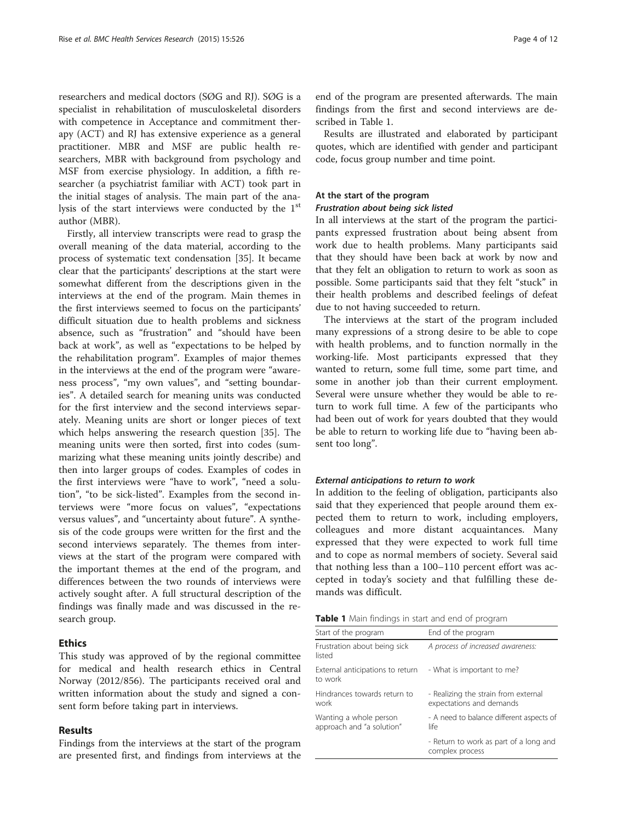researchers and medical doctors (SØG and RJ). SØG is a specialist in rehabilitation of musculoskeletal disorders with competence in Acceptance and commitment therapy (ACT) and RJ has extensive experience as a general practitioner. MBR and MSF are public health researchers, MBR with background from psychology and MSF from exercise physiology. In addition, a fifth researcher (a psychiatrist familiar with ACT) took part in the initial stages of analysis. The main part of the analysis of the start interviews were conducted by the 1st author (MBR).

Firstly, all interview transcripts were read to grasp the overall meaning of the data material, according to the process of systematic text condensation [\[35\]](#page-10-0). It became clear that the participants' descriptions at the start were somewhat different from the descriptions given in the interviews at the end of the program. Main themes in the first interviews seemed to focus on the participants' difficult situation due to health problems and sickness absence, such as "frustration" and "should have been back at work", as well as "expectations to be helped by the rehabilitation program". Examples of major themes in the interviews at the end of the program were "awareness process", "my own values", and "setting boundaries". A detailed search for meaning units was conducted for the first interview and the second interviews separately. Meaning units are short or longer pieces of text which helps answering the research question [[35\]](#page-10-0). The meaning units were then sorted, first into codes (summarizing what these meaning units jointly describe) and then into larger groups of codes. Examples of codes in the first interviews were "have to work", "need a solution", "to be sick-listed". Examples from the second interviews were "more focus on values", "expectations versus values", and "uncertainty about future". A synthesis of the code groups were written for the first and the second interviews separately. The themes from interviews at the start of the program were compared with the important themes at the end of the program, and differences between the two rounds of interviews were actively sought after. A full structural description of the findings was finally made and was discussed in the research group.

#### Ethics

This study was approved of by the regional committee for medical and health research ethics in Central Norway (2012/856). The participants received oral and written information about the study and signed a consent form before taking part in interviews.

#### Results

Findings from the interviews at the start of the program are presented first, and findings from interviews at the

end of the program are presented afterwards. The main findings from the first and second interviews are described in Table 1.

Results are illustrated and elaborated by participant quotes, which are identified with gender and participant code, focus group number and time point.

#### At the start of the program

#### Frustration about being sick listed

In all interviews at the start of the program the participants expressed frustration about being absent from work due to health problems. Many participants said that they should have been back at work by now and that they felt an obligation to return to work as soon as possible. Some participants said that they felt "stuck" in their health problems and described feelings of defeat due to not having succeeded to return.

The interviews at the start of the program included many expressions of a strong desire to be able to cope with health problems, and to function normally in the working-life. Most participants expressed that they wanted to return, some full time, some part time, and some in another job than their current employment. Several were unsure whether they would be able to return to work full time. A few of the participants who had been out of work for years doubted that they would be able to return to working life due to "having been absent too long".

#### External anticipations to return to work

In addition to the feeling of obligation, participants also said that they experienced that people around them expected them to return to work, including employers, colleagues and more distant acquaintances. Many expressed that they were expected to work full time and to cope as normal members of society. Several said that nothing less than a 100–110 percent effort was accepted in today's society and that fulfilling these demands was difficult.

| Table 1 Main findings in start and end of program |  |
|---------------------------------------------------|--|
|---------------------------------------------------|--|

| Start of the program                                | End of the program                                               |
|-----------------------------------------------------|------------------------------------------------------------------|
| Frustration about being sick<br>listed              | A process of increased awareness:                                |
| External anticipations to return<br>to work         | - What is important to me?                                       |
| Hindrances towards return to<br>work                | - Realizing the strain from external<br>expectations and demands |
| Wanting a whole person<br>approach and "a solution" | - A need to balance different aspects of<br>life                 |
|                                                     | - Return to work as part of a long and<br>complex process        |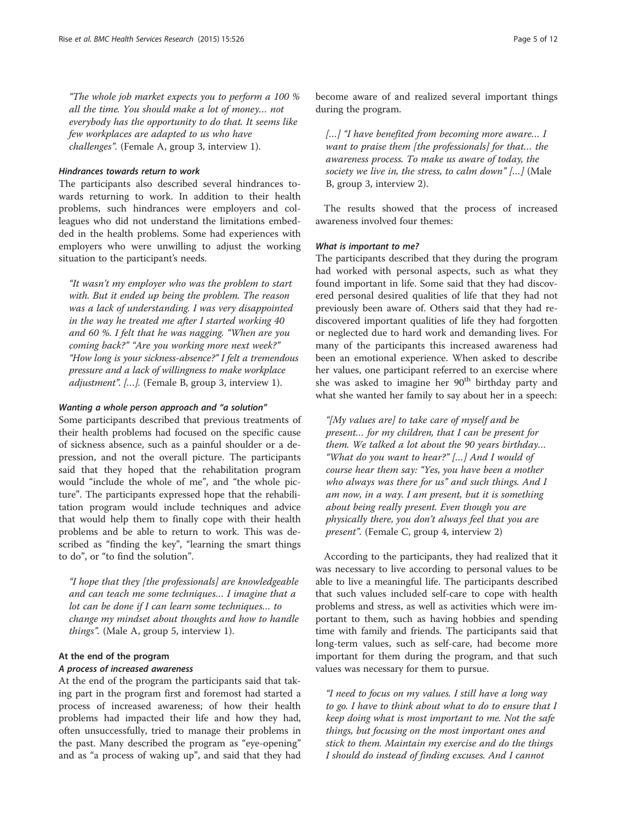"The whole job market expects you to perform a 100 % all the time. You should make a lot of money… not everybody has the opportunity to do that. It seems like few workplaces are adapted to us who have challenges". (Female A, group 3, interview 1).

#### Hindrances towards return to work

The participants also described several hindrances towards returning to work. In addition to their health problems, such hindrances were employers and colleagues who did not understand the limitations embedded in the health problems. Some had experiences with employers who were unwilling to adjust the working situation to the participant's needs.

"It wasn't my employer who was the problem to start with. But it ended up being the problem. The reason was a lack of understanding. I was very disappointed in the way he treated me after I started working 40 and 60 %. I felt that he was nagging. "When are you coming back?" "Are you working more next week?" "How long is your sickness-absence?" I felt a tremendous pressure and a lack of willingness to make workplace adjustment". […]. (Female B, group 3, interview 1).

#### Wanting a whole person approach and "a solution"

Some participants described that previous treatments of their health problems had focused on the specific cause of sickness absence, such as a painful shoulder or a depression, and not the overall picture. The participants said that they hoped that the rehabilitation program would "include the whole of me", and "the whole picture". The participants expressed hope that the rehabilitation program would include techniques and advice that would help them to finally cope with their health problems and be able to return to work. This was described as "finding the key", "learning the smart things to do", or "to find the solution".

"I hope that they [the professionals] are knowledgeable and can teach me some techniques… I imagine that a lot can be done if I can learn some techniques… to change my mindset about thoughts and how to handle things". (Male A, group 5, interview 1).

#### At the end of the program

#### A process of increased awareness

At the end of the program the participants said that taking part in the program first and foremost had started a process of increased awareness; of how their health problems had impacted their life and how they had, often unsuccessfully, tried to manage their problems in the past. Many described the program as "eye-opening" and as "a process of waking up", and said that they had

become aware of and realized several important things during the program.

[...] "I have benefited from becoming more aware... I want to praise them [the professionals] for that... the awareness process. To make us aware of today, the society we live in, the stress, to calm down" [...] (Male B, group 3, interview 2).

The results showed that the process of increased awareness involved four themes:

#### What is important to me?

The participants described that they during the program had worked with personal aspects, such as what they found important in life. Some said that they had discovered personal desired qualities of life that they had not previously been aware of. Others said that they had rediscovered important qualities of life they had forgotten or neglected due to hard work and demanding lives. For many of the participants this increased awareness had been an emotional experience. When asked to describe her values, one participant referred to an exercise where she was asked to imagine her 90<sup>th</sup> birthday party and what she wanted her family to say about her in a speech:

"[My values are] to take care of myself and be present… for my children, that I can be present for them. We talked a lot about the 90 years birthday… "What do you want to hear?" […] And I would of course hear them say: "Yes, you have been a mother who always was there for us" and such things. And I am now, in a way. I am present, but it is something about being really present. Even though you are physically there, you don't always feel that you are present". (Female C, group 4, interview 2)

According to the participants, they had realized that it was necessary to live according to personal values to be able to live a meaningful life. The participants described that such values included self-care to cope with health problems and stress, as well as activities which were important to them, such as having hobbies and spending time with family and friends. The participants said that long-term values, such as self-care, had become more important for them during the program, and that such values was necessary for them to pursue.

"I need to focus on my values. I still have a long way to go. I have to think about what to do to ensure that I keep doing what is most important to me. Not the safe things, but focusing on the most important ones and stick to them. Maintain my exercise and do the things I should do instead of finding excuses. And I cannot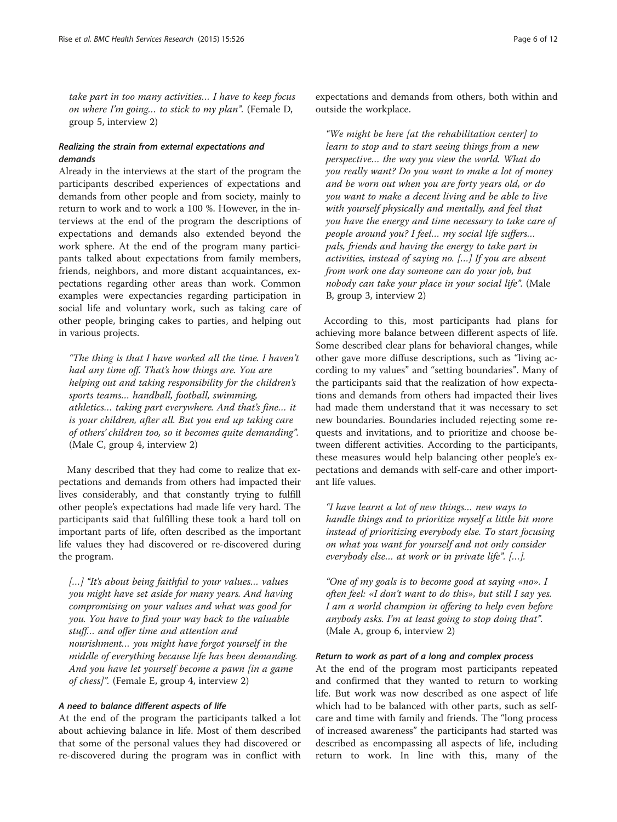take part in too many activities… I have to keep focus on where I'm going… to stick to my plan". (Female D, group 5, interview 2)

#### Realizing the strain from external expectations and demands

Already in the interviews at the start of the program the participants described experiences of expectations and demands from other people and from society, mainly to return to work and to work a 100 %. However, in the interviews at the end of the program the descriptions of expectations and demands also extended beyond the work sphere. At the end of the program many participants talked about expectations from family members, friends, neighbors, and more distant acquaintances, expectations regarding other areas than work. Common examples were expectancies regarding participation in social life and voluntary work, such as taking care of other people, bringing cakes to parties, and helping out in various projects.

"The thing is that I have worked all the time. I haven't had any time off. That's how things are. You are helping out and taking responsibility for the children's sports teams… handball, football, swimming, athletics… taking part everywhere. And that's fine… it is your children, after all. But you end up taking care of others' children too, so it becomes quite demanding". (Male C, group 4, interview 2)

Many described that they had come to realize that expectations and demands from others had impacted their lives considerably, and that constantly trying to fulfill other people's expectations had made life very hard. The participants said that fulfilling these took a hard toll on important parts of life, often described as the important life values they had discovered or re-discovered during the program.

[...] "It's about being faithful to your values... values you might have set aside for many years. And having compromising on your values and what was good for you. You have to find your way back to the valuable stuff… and offer time and attention and nourishment… you might have forgot yourself in the middle of everything because life has been demanding. And you have let yourself become a pawn [in a game of chess]". (Female E, group 4, interview 2)

#### A need to balance different aspects of life

At the end of the program the participants talked a lot about achieving balance in life. Most of them described that some of the personal values they had discovered or re-discovered during the program was in conflict with expectations and demands from others, both within and outside the workplace.

"We might be here [at the rehabilitation center] to learn to stop and to start seeing things from a new perspective… the way you view the world. What do you really want? Do you want to make a lot of money and be worn out when you are forty years old, or do you want to make a decent living and be able to live with yourself physically and mentally, and feel that you have the energy and time necessary to take care of people around you? I feel… my social life suffers… pals, friends and having the energy to take part in activities, instead of saying no. […] If you are absent from work one day someone can do your job, but nobody can take your place in your social life". (Male B, group 3, interview 2)

According to this, most participants had plans for achieving more balance between different aspects of life. Some described clear plans for behavioral changes, while other gave more diffuse descriptions, such as "living according to my values" and "setting boundaries". Many of the participants said that the realization of how expectations and demands from others had impacted their lives had made them understand that it was necessary to set new boundaries. Boundaries included rejecting some requests and invitations, and to prioritize and choose between different activities. According to the participants, these measures would help balancing other people's expectations and demands with self-care and other important life values.

"I have learnt a lot of new things… new ways to handle things and to prioritize myself a little bit more instead of prioritizing everybody else. To start focusing on what you want for yourself and not only consider everybody else… at work or in private life". […].

"One of my goals is to become good at saying «no». I often feel: «I don't want to do this», but still I say yes. I am a world champion in offering to help even before anybody asks. I'm at least going to stop doing that". (Male A, group 6, interview 2)

#### Return to work as part of a long and complex process

At the end of the program most participants repeated and confirmed that they wanted to return to working life. But work was now described as one aspect of life which had to be balanced with other parts, such as selfcare and time with family and friends. The "long process of increased awareness" the participants had started was described as encompassing all aspects of life, including return to work. In line with this, many of the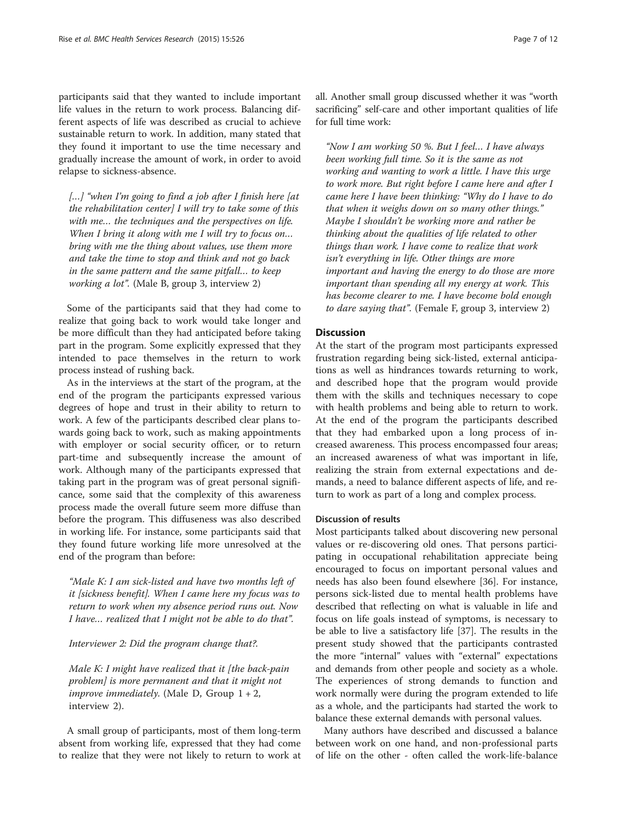participants said that they wanted to include important life values in the return to work process. Balancing different aspects of life was described as crucial to achieve sustainable return to work. In addition, many stated that they found it important to use the time necessary and gradually increase the amount of work, in order to avoid relapse to sickness-absence.

 $[...]$  "when I'm going to find a job after I finish here [at the rehabilitation center] I will try to take some of this with me... the techniques and the perspectives on life. When I bring it along with me I will try to focus on... bring with me the thing about values, use them more and take the time to stop and think and not go back in the same pattern and the same pitfall… to keep working a lot". (Male B, group 3, interview 2)

Some of the participants said that they had come to realize that going back to work would take longer and be more difficult than they had anticipated before taking part in the program. Some explicitly expressed that they intended to pace themselves in the return to work process instead of rushing back.

As in the interviews at the start of the program, at the end of the program the participants expressed various degrees of hope and trust in their ability to return to work. A few of the participants described clear plans towards going back to work, such as making appointments with employer or social security officer, or to return part-time and subsequently increase the amount of work. Although many of the participants expressed that taking part in the program was of great personal significance, some said that the complexity of this awareness process made the overall future seem more diffuse than before the program. This diffuseness was also described in working life. For instance, some participants said that they found future working life more unresolved at the end of the program than before:

"Male K: I am sick-listed and have two months left of it [sickness benefit]. When I came here my focus was to return to work when my absence period runs out. Now I have… realized that I might not be able to do that".

Interviewer 2: Did the program change that?.

Male K: I might have realized that it [the back-pain problem] is more permanent and that it might not improve immediately. (Male D, Group  $1 + 2$ , interview 2).

A small group of participants, most of them long-term absent from working life, expressed that they had come to realize that they were not likely to return to work at all. Another small group discussed whether it was "worth sacrificing" self-care and other important qualities of life for full time work:

"Now I am working 50 %. But I feel… I have always been working full time. So it is the same as not working and wanting to work a little. I have this urge to work more. But right before I came here and after I came here I have been thinking: "Why do I have to do that when it weighs down on so many other things." Maybe I shouldn't be working more and rather be thinking about the qualities of life related to other things than work. I have come to realize that work isn't everything in life. Other things are more important and having the energy to do those are more important than spending all my energy at work. This has become clearer to me. I have become bold enough to dare saying that". (Female F, group 3, interview 2)

#### **Discussion**

At the start of the program most participants expressed frustration regarding being sick-listed, external anticipations as well as hindrances towards returning to work, and described hope that the program would provide them with the skills and techniques necessary to cope with health problems and being able to return to work. At the end of the program the participants described that they had embarked upon a long process of increased awareness. This process encompassed four areas; an increased awareness of what was important in life, realizing the strain from external expectations and demands, a need to balance different aspects of life, and return to work as part of a long and complex process.

#### Discussion of results

Most participants talked about discovering new personal values or re-discovering old ones. That persons participating in occupational rehabilitation appreciate being encouraged to focus on important personal values and needs has also been found elsewhere [\[36](#page-10-0)]. For instance, persons sick-listed due to mental health problems have described that reflecting on what is valuable in life and focus on life goals instead of symptoms, is necessary to be able to live a satisfactory life [[37\]](#page-10-0). The results in the present study showed that the participants contrasted the more "internal" values with "external" expectations and demands from other people and society as a whole. The experiences of strong demands to function and work normally were during the program extended to life as a whole, and the participants had started the work to balance these external demands with personal values.

Many authors have described and discussed a balance between work on one hand, and non-professional parts of life on the other - often called the work-life-balance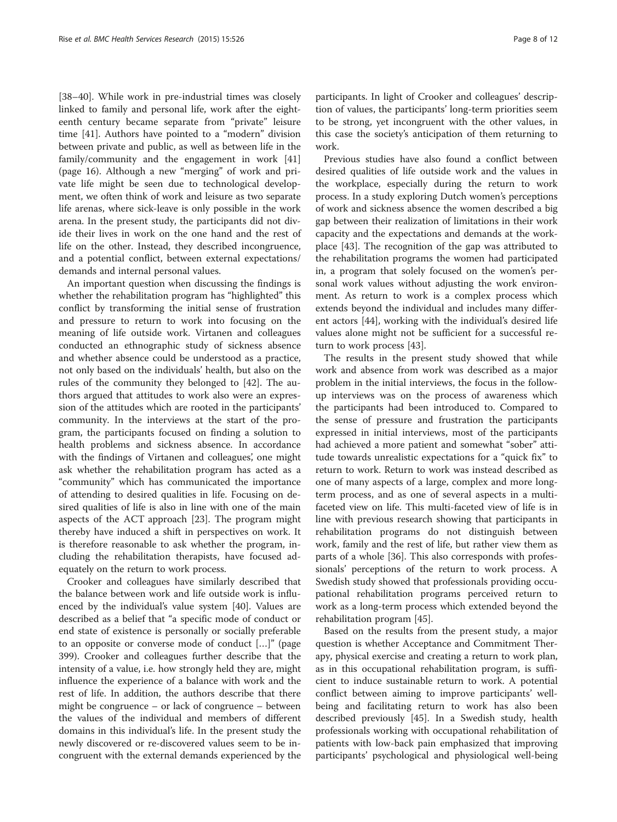[[38](#page-10-0)–[40](#page-10-0)]. While work in pre-industrial times was closely linked to family and personal life, work after the eighteenth century became separate from "private" leisure time [\[41\]](#page-10-0). Authors have pointed to a "modern" division between private and public, as well as between life in the family/community and the engagement in work [[41](#page-10-0)] (page 16). Although a new "merging" of work and private life might be seen due to technological development, we often think of work and leisure as two separate life arenas, where sick-leave is only possible in the work arena. In the present study, the participants did not divide their lives in work on the one hand and the rest of life on the other. Instead, they described incongruence, and a potential conflict, between external expectations/ demands and internal personal values.

An important question when discussing the findings is whether the rehabilitation program has "highlighted" this conflict by transforming the initial sense of frustration and pressure to return to work into focusing on the meaning of life outside work. Virtanen and colleagues conducted an ethnographic study of sickness absence and whether absence could be understood as a practice, not only based on the individuals' health, but also on the rules of the community they belonged to [[42\]](#page-10-0). The authors argued that attitudes to work also were an expression of the attitudes which are rooted in the participants' community. In the interviews at the start of the program, the participants focused on finding a solution to health problems and sickness absence. In accordance with the findings of Virtanen and colleagues', one might ask whether the rehabilitation program has acted as a "community" which has communicated the importance of attending to desired qualities in life. Focusing on desired qualities of life is also in line with one of the main aspects of the ACT approach [[23\]](#page-10-0). The program might thereby have induced a shift in perspectives on work. It is therefore reasonable to ask whether the program, including the rehabilitation therapists, have focused adequately on the return to work process.

Crooker and colleagues have similarly described that the balance between work and life outside work is influenced by the individual's value system [\[40](#page-10-0)]. Values are described as a belief that "a specific mode of conduct or end state of existence is personally or socially preferable to an opposite or converse mode of conduct […]" (page 399). Crooker and colleagues further describe that the intensity of a value, i.e. how strongly held they are, might influence the experience of a balance with work and the rest of life. In addition, the authors describe that there might be congruence – or lack of congruence – between the values of the individual and members of different domains in this individual's life. In the present study the newly discovered or re-discovered values seem to be incongruent with the external demands experienced by the

participants. In light of Crooker and colleagues' description of values, the participants' long-term priorities seem to be strong, yet incongruent with the other values, in this case the society's anticipation of them returning to work.

Previous studies have also found a conflict between desired qualities of life outside work and the values in the workplace, especially during the return to work process. In a study exploring Dutch women's perceptions of work and sickness absence the women described a big gap between their realization of limitations in their work capacity and the expectations and demands at the workplace [[43](#page-10-0)]. The recognition of the gap was attributed to the rehabilitation programs the women had participated in, a program that solely focused on the women's personal work values without adjusting the work environment. As return to work is a complex process which extends beyond the individual and includes many different actors [\[44\]](#page-10-0), working with the individual's desired life values alone might not be sufficient for a successful return to work process [\[43](#page-10-0)].

The results in the present study showed that while work and absence from work was described as a major problem in the initial interviews, the focus in the followup interviews was on the process of awareness which the participants had been introduced to. Compared to the sense of pressure and frustration the participants expressed in initial interviews, most of the participants had achieved a more patient and somewhat "sober" attitude towards unrealistic expectations for a "quick fix" to return to work. Return to work was instead described as one of many aspects of a large, complex and more longterm process, and as one of several aspects in a multifaceted view on life. This multi-faceted view of life is in line with previous research showing that participants in rehabilitation programs do not distinguish between work, family and the rest of life, but rather view them as parts of a whole [\[36](#page-10-0)]. This also corresponds with professionals' perceptions of the return to work process. A Swedish study showed that professionals providing occupational rehabilitation programs perceived return to work as a long-term process which extended beyond the rehabilitation program [\[45\]](#page-10-0).

Based on the results from the present study, a major question is whether Acceptance and Commitment Therapy, physical exercise and creating a return to work plan, as in this occupational rehabilitation program, is sufficient to induce sustainable return to work. A potential conflict between aiming to improve participants' wellbeing and facilitating return to work has also been described previously [[45](#page-10-0)]. In a Swedish study, health professionals working with occupational rehabilitation of patients with low-back pain emphasized that improving participants' psychological and physiological well-being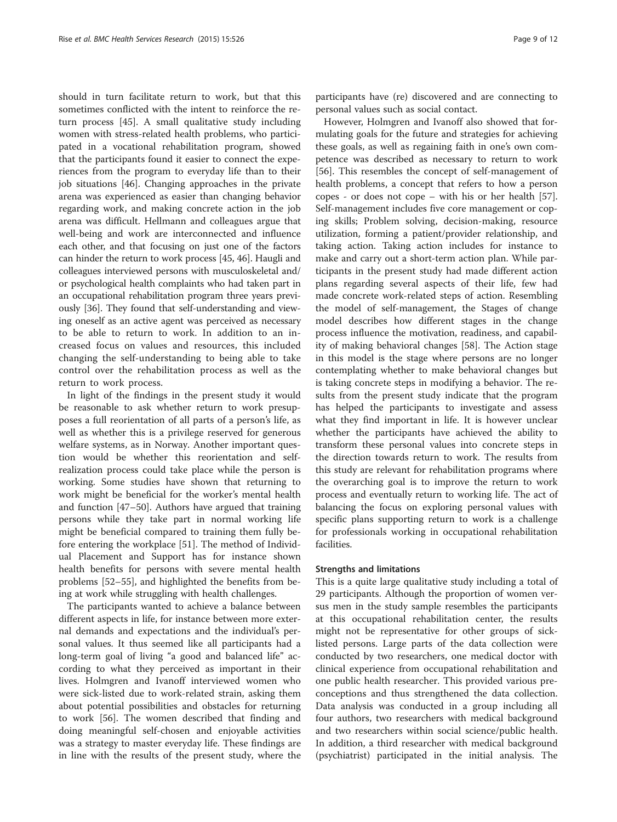should in turn facilitate return to work, but that this sometimes conflicted with the intent to reinforce the return process [\[45](#page-10-0)]. A small qualitative study including women with stress-related health problems, who participated in a vocational rehabilitation program, showed that the participants found it easier to connect the experiences from the program to everyday life than to their job situations [\[46](#page-10-0)]. Changing approaches in the private arena was experienced as easier than changing behavior regarding work, and making concrete action in the job arena was difficult. Hellmann and colleagues argue that well-being and work are interconnected and influence each other, and that focusing on just one of the factors can hinder the return to work process [[45](#page-10-0), [46\]](#page-10-0). Haugli and colleagues interviewed persons with musculoskeletal and/ or psychological health complaints who had taken part in an occupational rehabilitation program three years previously [\[36\]](#page-10-0). They found that self-understanding and viewing oneself as an active agent was perceived as necessary to be able to return to work. In addition to an increased focus on values and resources, this included changing the self-understanding to being able to take control over the rehabilitation process as well as the return to work process.

In light of the findings in the present study it would be reasonable to ask whether return to work presupposes a full reorientation of all parts of a person's life, as well as whether this is a privilege reserved for generous welfare systems, as in Norway. Another important question would be whether this reorientation and selfrealization process could take place while the person is working. Some studies have shown that returning to work might be beneficial for the worker's mental health and function [[47](#page-10-0)–[50](#page-10-0)]. Authors have argued that training persons while they take part in normal working life might be beneficial compared to training them fully before entering the workplace [[51\]](#page-10-0). The method of Individual Placement and Support has for instance shown health benefits for persons with severe mental health problems [\[52](#page-10-0)–[55\]](#page-10-0), and highlighted the benefits from being at work while struggling with health challenges.

The participants wanted to achieve a balance between different aspects in life, for instance between more external demands and expectations and the individual's personal values. It thus seemed like all participants had a long-term goal of living "a good and balanced life" according to what they perceived as important in their lives. Holmgren and Ivanoff interviewed women who were sick-listed due to work-related strain, asking them about potential possibilities and obstacles for returning to work [\[56\]](#page-11-0). The women described that finding and doing meaningful self-chosen and enjoyable activities was a strategy to master everyday life. These findings are in line with the results of the present study, where the participants have (re) discovered and are connecting to personal values such as social contact.

However, Holmgren and Ivanoff also showed that formulating goals for the future and strategies for achieving these goals, as well as regaining faith in one's own competence was described as necessary to return to work [[56\]](#page-11-0). This resembles the concept of self-management of health problems, a concept that refers to how a person copes - or does not cope – with his or her health [\[57](#page-11-0)]. Self-management includes five core management or coping skills; Problem solving, decision-making, resource utilization, forming a patient/provider relationship, and taking action. Taking action includes for instance to make and carry out a short-term action plan. While participants in the present study had made different action plans regarding several aspects of their life, few had made concrete work-related steps of action. Resembling the model of self-management, the Stages of change model describes how different stages in the change process influence the motivation, readiness, and capability of making behavioral changes [\[58](#page-11-0)]. The Action stage in this model is the stage where persons are no longer contemplating whether to make behavioral changes but is taking concrete steps in modifying a behavior. The results from the present study indicate that the program has helped the participants to investigate and assess what they find important in life. It is however unclear whether the participants have achieved the ability to transform these personal values into concrete steps in the direction towards return to work. The results from this study are relevant for rehabilitation programs where the overarching goal is to improve the return to work process and eventually return to working life. The act of balancing the focus on exploring personal values with specific plans supporting return to work is a challenge for professionals working in occupational rehabilitation facilities.

#### Strengths and limitations

This is a quite large qualitative study including a total of 29 participants. Although the proportion of women versus men in the study sample resembles the participants at this occupational rehabilitation center, the results might not be representative for other groups of sicklisted persons. Large parts of the data collection were conducted by two researchers, one medical doctor with clinical experience from occupational rehabilitation and one public health researcher. This provided various preconceptions and thus strengthened the data collection. Data analysis was conducted in a group including all four authors, two researchers with medical background and two researchers within social science/public health. In addition, a third researcher with medical background (psychiatrist) participated in the initial analysis. The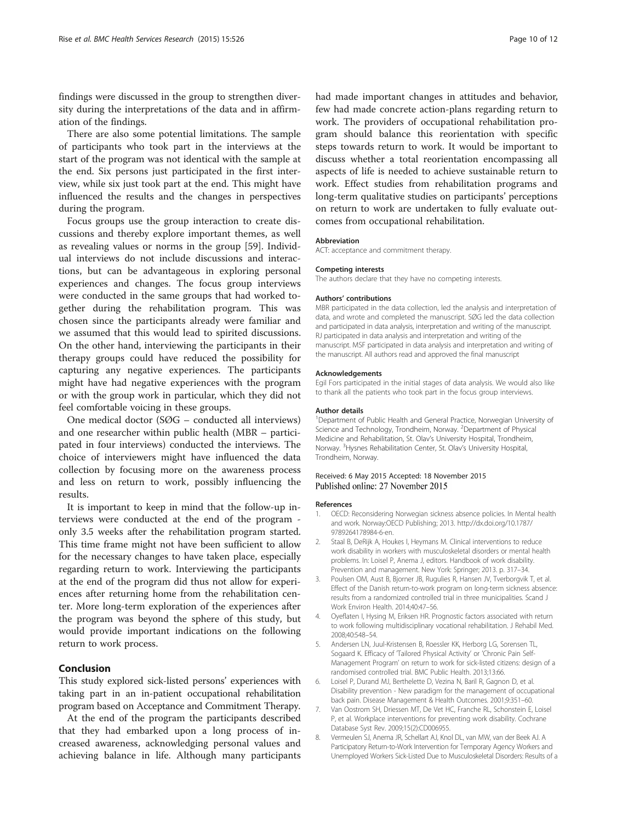<span id="page-9-0"></span>findings were discussed in the group to strengthen diversity during the interpretations of the data and in affirmation of the findings.

There are also some potential limitations. The sample of participants who took part in the interviews at the start of the program was not identical with the sample at the end. Six persons just participated in the first interview, while six just took part at the end. This might have influenced the results and the changes in perspectives during the program.

Focus groups use the group interaction to create discussions and thereby explore important themes, as well as revealing values or norms in the group [\[59](#page-11-0)]. Individual interviews do not include discussions and interactions, but can be advantageous in exploring personal experiences and changes. The focus group interviews were conducted in the same groups that had worked together during the rehabilitation program. This was chosen since the participants already were familiar and we assumed that this would lead to spirited discussions. On the other hand, interviewing the participants in their therapy groups could have reduced the possibility for capturing any negative experiences. The participants might have had negative experiences with the program or with the group work in particular, which they did not feel comfortable voicing in these groups.

One medical doctor (SØG – conducted all interviews) and one researcher within public health (MBR – participated in four interviews) conducted the interviews. The choice of interviewers might have influenced the data collection by focusing more on the awareness process and less on return to work, possibly influencing the results.

It is important to keep in mind that the follow-up interviews were conducted at the end of the program only 3.5 weeks after the rehabilitation program started. This time frame might not have been sufficient to allow for the necessary changes to have taken place, especially regarding return to work. Interviewing the participants at the end of the program did thus not allow for experiences after returning home from the rehabilitation center. More long-term exploration of the experiences after the program was beyond the sphere of this study, but would provide important indications on the following return to work process.

#### Conclusion

This study explored sick-listed persons' experiences with taking part in an in-patient occupational rehabilitation program based on Acceptance and Commitment Therapy.

At the end of the program the participants described that they had embarked upon a long process of increased awareness, acknowledging personal values and achieving balance in life. Although many participants

had made important changes in attitudes and behavior, few had made concrete action-plans regarding return to work. The providers of occupational rehabilitation program should balance this reorientation with specific steps towards return to work. It would be important to discuss whether a total reorientation encompassing all aspects of life is needed to achieve sustainable return to work. Effect studies from rehabilitation programs and long-term qualitative studies on participants' perceptions on return to work are undertaken to fully evaluate outcomes from occupational rehabilitation.

#### Abbreviation

ACT: acceptance and commitment therapy.

#### Competing interests

The authors declare that they have no competing interests.

#### Authors' contributions

MBR participated in the data collection, led the analysis and interpretation of data, and wrote and completed the manuscript. SØG led the data collection and participated in data analysis, interpretation and writing of the manuscript. RJ participated in data analysis and interpretation and writing of the manuscript. MSF participated in data analysis and interpretation and writing of the manuscript. All authors read and approved the final manuscript

#### Acknowledgements

Egil Fors participated in the initial stages of data analysis. We would also like to thank all the patients who took part in the focus group interviews.

#### Author details

<sup>1</sup>Department of Public Health and General Practice, Norwegian University of Science and Technology, Trondheim, Norway. <sup>2</sup>Department of Physical Medicine and Rehabilitation, St. Olav's University Hospital, Trondheim, Norway. <sup>3</sup> Hysnes Rehabilitation Center, St. Olav's University Hospital, Trondheim, Norway.

## Received: 6 May 2015 Accepted: 18 November 2015

#### References

- 1. OECD: Reconsidering Norwegian sickness absence policies. In Mental health and work. Norway:OECD Publishing; 2013. [http://dx.doi.org/10.1787/](http://dx.doi.org/10.1787/9789264178984-6-en) [9789264178984-6-en.](http://dx.doi.org/10.1787/9789264178984-6-en)
- 2. Staal B, DeRijk A, Houkes I, Heymans M. Clinical interventions to reduce work disability in workers with musculoskeletal disorders or mental health problems. In: Loisel P, Anema J, editors. Handbook of work disability. Prevention and management. New York: Springer; 2013. p. 317–34.
- 3. Poulsen OM, Aust B, Bjorner JB, Rugulies R, Hansen JV, Tverborgvik T, et al. Effect of the Danish return-to-work program on long-term sickness absence: results from a randomized controlled trial in three municipalities. Scand J Work Environ Health. 2014;40:47–56.
- 4. Oyeflaten I, Hysing M, Eriksen HR. Prognostic factors associated with return to work following multidisciplinary vocational rehabilitation. J Rehabil Med. 2008;40:548–54.
- 5. Andersen LN, Juul-Kristensen B, Roessler KK, Herborg LG, Sorensen TL, Sogaard K. Efficacy of 'Tailored Physical Activity' or 'Chronic Pain Self-Management Program' on return to work for sick-listed citizens: design of a randomised controlled trial. BMC Public Health. 2013;13:66.
- 6. Loisel P, Durand MJ, Berthelette D, Vezina N, Baril R, Gagnon D, et al. Disability prevention - New paradigm for the management of occupational back pain. Disease Management & Health Outcomes. 2001;9:351–60.
- 7. Van Oostrom SH, Driessen MT, De Vet HC, Franche RL, Schonstein E, Loisel P, et al. Workplace interventions for preventing work disability. Cochrane Database Syst Rev. 2009;15(2):CD006955.
- 8. Vermeulen SJ, Anema JR, Schellart AJ, Knol DL, van MW, van der Beek AJ. A Participatory Return-to-Work Intervention for Temporary Agency Workers and Unemployed Workers Sick-Listed Due to Musculoskeletal Disorders: Results of a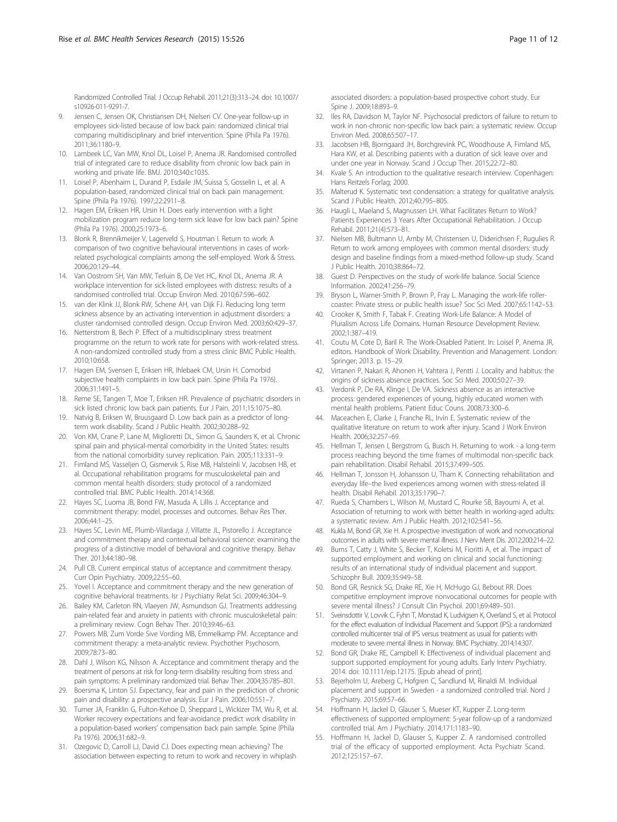<span id="page-10-0"></span>Randomized Controlled Trial. J Occup Rehabil. 2011;21(3):313–24. doi: [10.1007/](http://dx.doi.org/10.1007/s10926-011-9291-7) [s10926-011-9291-7](http://dx.doi.org/10.1007/s10926-011-9291-7).

- 9. Jensen C, Jensen OK, Christiansen DH, Nielsen CV, One-year follow-up in employees sick-listed because of low back pain: randomized clinical trial comparing multidisciplinary and brief intervention. Spine (Phila Pa 1976). 2011;36:1180–9.
- 10. Lambeek LC, Van MW, Knol DL, Loisel P, Anema JR. Randomised controlled trial of integrated care to reduce disability from chronic low back pain in working and private life. BMJ. 2010;340:c1035.
- 11. Loisel P, Abenhaim L, Durand P, Esdaile JM, Suissa S, Gosselin L, et al. A population-based, randomized clinical trial on back pain management. Spine (Phila Pa 1976). 1997;22:2911–8.
- 12. Hagen EM, Eriksen HR, Ursin H. Does early intervention with a light mobilization program reduce long-term sick leave for low back pain? Spine (Phila Pa 1976). 2000;25:1973–6.
- 13. Blonk R, Brennikmeijer V, Lagerveld S, Houtman I. Return to work: A comparison of two cognitive behavioural interventions in cases of workrelated psychological complaints among the self-employed. Work & Stress. 2006;20:129–44.
- 14. Van Oostrom SH, Van MW, Terluin B, De Vet HC, Knol DL, Anema JR. A workplace intervention for sick-listed employees with distress: results of a randomised controlled trial. Occup Environ Med. 2010;67:596–602.
- 15. van der Klink JJ, Blonk RW, Schene AH, van Dijk FJ. Reducing long term sickness absence by an activating intervention in adjustment disorders: a cluster randomised controlled design. Occup Environ Med. 2003;60:429–37.
- 16. Netterstrom B, Bech P. Effect of a multidisciplinary stress treatment programme on the return to work rate for persons with work-related stress. A non-randomized controlled study from a stress clinic BMC Public Health. 2010;10:658.
- 17. Hagen EM, Svensen E, Eriksen HR, Ihlebaek CM, Ursin H. Comorbid subjective health complaints in low back pain. Spine (Phila Pa 1976). 2006;31:1491–5.
- 18. Reme SE, Tangen T, Moe T, Eriksen HR. Prevalence of psychiatric disorders in sick listed chronic low back pain patients. Eur J Pain. 2011;15:1075–80.
- 19. Natvig B, Eriksen W, Bruusgaard D. Low back pain as a predictor of longterm work disability. Scand J Public Health. 2002;30:288–92.
- 20. Von KM, Crane P, Lane M, Miglioretti DL, Simon G, Saunders K, et al. Chronic spinal pain and physical-mental comorbidity in the United States: results from the national comorbidity survey replication. Pain. 2005;113:331–9.
- 21. Fimland MS, Vasseljen O, Gismervik S, Rise MB, Halsteinli V, Jacobsen HB, et al. Occupational rehabilitation programs for musculoskeletal pain and common mental health disorders: study protocol of a randomized controlled trial. BMC Public Health. 2014;14:368.
- 22. Hayes SC, Luoma JB, Bond FW, Masuda A, Lillis J. Acceptance and commitment therapy: model, processes and outcomes. Behav Res Ther. 2006;44:1–25.
- 23. Hayes SC, Levin ME, Plumb-Vilardaga J, Villatte JL, Pistorello J. Acceptance and commitment therapy and contextual behavioral science: examining the progress of a distinctive model of behavioral and cognitive therapy. Behav Ther. 2013;44:180–98.
- 24. Pull CB. Current empirical status of acceptance and commitment therapy. Curr Opin Psychiatry. 2009;22:55–60.
- 25. Yovel I. Acceptance and commitment therapy and the new generation of cognitive behavioral treatments. Isr J Psychiatry Relat Sci. 2009;46:304–9.
- 26. Bailey KM, Carleton RN, Vlaeyen JW, Asmundson GJ. Treatments addressing pain-related fear and anxiety in patients with chronic musculoskeletal pain: a preliminary review. Cogn Behav Ther. 2010;39:46–63.
- 27. Powers MB, Zum Vorde Sive Vording MB, Emmelkamp PM. Acceptance and commitment therapy: a meta-analytic review. Psychother Psychosom. 2009;78:73–80.
- 28. Dahl J, Wilson KG, Nilsson A. Acceptance and commitment therapy and the treatment of persons at risk for long-term disability resulting from stress and pain symptoms: A preliminary randomized trial. Behav Ther. 2004;35:785–801.
- 29. Boersma K, Linton SJ. Expectancy, fear and pain in the prediction of chronic pain and disability: a prospective analysis. Eur J Pain. 2006;10:551–7.
- 30. Turner JA, Franklin G, Fulton-Kehoe D, Sheppard L, Wickizer TM, Wu R, et al. Worker recovery expectations and fear-avoidance predict work disability in a population-based workers' compensation back pain sample. Spine (Phila Pa 1976). 2006;31:682–9.
- 31. Ozegovic D, Carroll LJ, David CJ. Does expecting mean achieving? The association between expecting to return to work and recovery in whiplash

associated disorders: a population-based prospective cohort study. Eur Spine J. 2009;18:893–9.

- 32. Iles RA, Davidson M, Taylor NF. Psychosocial predictors of failure to return to work in non-chronic non-specific low back pain: a systematic review. Occup Environ Med. 2008;65:507–17.
- 33. Jacobsen HB, Bjorngaard JH, Borchgrevink PC, Woodhouse A, Fimland MS, Hara KW, et al. Describing patients with a duration of sick leave over and under one year in Norway. Scand J Occup Ther. 2015;22:72–80.
- 34. Kvale S. An introduction to the qualitative research interview. Copenhagen: Hans Reitzels Forlag; 2000.
- 35. Malterud K. Systematic text condensation: a strategy for qualitative analysis. Scand J Public Health. 2012;40:795–805.
- 36. Haugli L, Maeland S, Magnussen LH. What Facilitates Return to Work? Patients Experiences 3 Years After Occupational Rehabilitation. J Occup Rehabil. 2011;21(4):573–81.
- 37. Nielsen MB, Bultmann U, Amby M, Christensen U, Diderichsen F, Rugulies R. Return to work among employees with common mental disorders: study design and baseline findings from a mixed-method follow-up study. Scand J Public Health. 2010;38:864–72.
- 38. Guest D. Perspectives on the study of work-life balance. Social Science Information. 2002;41:256–79.
- 39. Bryson L, Warner-Smith P, Brown P, Fray L. Managing the work-life rollercoaster: Private stress or public health issue? Soc Sci Med. 2007;65:1142–53.
- 40. Crooker K, Smith F, Tabak F. Creating Work-Life Balance: A Model of Pluralism Across Life Domains. Human Resource Development Review. 2002;1:387–419.
- 41. Coutu M, Cote D, Baril R. The Work-Disabled Patient. In: Loisel P, Anema JR, editors. Handbook of Work Disability. Prevention and Management. London: Springer; 2013. p. 15–29.
- 42. Virtanen P, Nakari R, Ahonen H, Vahtera J, Pentti J. Locality and habitus: the origins of sickness absence practices. Soc Sci Med. 2000;50:27–39.
- 43. Verdonk P, De RA, Klinge I, De VA. Sickness absence as an interactive process: gendered experiences of young, highly educated women with mental health problems. Patient Educ Couns. 2008;73:300–6.
- 44. Maceachen E, Clarke J, Franche RL, Irvin E. Systematic review of the qualitative literature on return to work after injury. Scand J Work Environ Health. 2006;32:257–69.
- 45. Hellman T, Jensen I, Bergstrom G, Busch H. Returning to work a long-term process reaching beyond the time frames of multimodal non-specific back pain rehabilitation. Disabil Rehabil. 2015;37:499–505.
- 46. Hellman T, Jonsson H, Johansson U, Tham K. Connecting rehabilitation and everyday life–the lived experiences among women with stress-related ill health. Disabil Rehabil. 2013;35:1790–7.
- 47. Rueda S, Chambers L, Wilson M, Mustard C, Rourke SB, Bayoumi A, et al. Association of returning to work with better health in working-aged adults: a systematic review. Am J Public Health. 2012;102:541–56.
- 48. Kukla M, Bond GR, Xie H. A prospective investigation of work and nonvocational outcomes in adults with severe mental illness. J Nerv Ment Dis. 2012;200:214–22.
- 49. Burns T, Catty J, White S, Becker T, Koletsi M, Fioritti A, et al. The impact of supported employment and working on clinical and social functioning: results of an international study of individual placement and support. Schizophr Bull. 2009;35:949–58.
- 50. Bond GR, Resnick SG, Drake RE, Xie H, McHugo GJ, Bebout RR. Does competitive employment improve nonvocational outcomes for people with severe mental illness? J Consult Clin Psychol. 2001;69:489–501.
- 51. Sveinsdottir V, Lovvik C, Fyhn T, Monstad K, Ludvigsen K, Overland S, et al. Protocol for the effect evaluation of Individual Placement and Support (IPS): a randomized controlled multicenter trial of IPS versus treatment as usual for patients with moderate to severe mental illness in Norway. BMC Psychiatry. 2014;14:307.
- 52. Bond GR, Drake RE, Campbell K: Effectiveness of individual placement and support supported employment for young adults. Early Interv Psychiatry. 2014. doi: [10.1111/eip.12175](http://dx.doi.org/10.1111/eip.12175). [Epub ahead of print].
- 53. Bejerholm U, Areberg C, Hofgren C, Sandlund M, Rinaldi M. Individual placement and support in Sweden - a randomized controlled trial. Nord J Psychiatry. 2015;69:57–66.
- 54. Hoffmann H, Jackel D, Glauser S, Mueser KT, Kupper Z. Long-term effectiveness of supported employment: 5-year follow-up of a randomized controlled trial. Am J Psychiatry. 2014;171:1183–90.
- 55. Hoffmann H, Jackel D, Glauser S, Kupper Z. A randomised controlled trial of the efficacy of supported employment. Acta Psychiatr Scand. 2012;125:157–67.